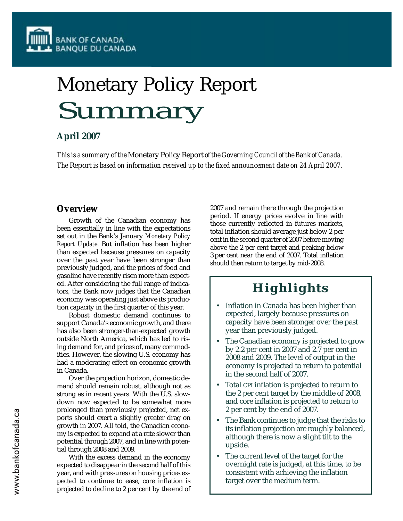# Monetary Policy Report Summary

## **April 2007**

*This is a summary of the* Monetary Policy Report *of the Governing Council of the Bank of Canada. The* Report *is based on information received up to the fixed announcement date on 24 April 2007.*

## **Overview**

Growth of the Canadian economy has been essentially in line with the expectations set out in the Bank's January *Monetary Policy Report Update*. But inflation has been higher than expected because pressures on capacity over the past year have been stronger than previously judged, and the prices of food and gasoline have recently risen more than expected. After considering the full range of indicators, the Bank now judges that the Canadian economy was operating just above its production capacity in the first quarter of this year.

Robust domestic demand continues to support Canada's economic growth, and there has also been stronger-than-expected growth outside North America, which has led to rising demand for, and prices of, many commodities. However, the slowing U.S. economy has had a moderating effect on economic growth in Canada.

Over the projection horizon, domestic demand should remain robust, although not as strong as in recent years. With the U.S. slowdown now expected to be somewhat more prolonged than previously projected, net exports should exert a slightly greater drag on growth in 2007. All told, the Canadian economy is expected to expand at a rate slower than potential through 2007, and in line with potential through 2008 and 2009.

With the excess demand in the economy expected to disappear in the second half of this year, and with pressures on housing prices expected to continue to ease, core inflation is projected to decline to 2 per cent by the end of 2007 and remain there through the projection period. If energy prices evolve in line with those currently reflected in futures markets, total inflation should average just below 2 per cent in the second quarter of 2007 before moving above the 2 per cent target and peaking below 3 per cent near the end of 2007. Total inflation should then return to target by mid-2008.

## **Highlights**

- Inflation in Canada has been higher than expected, largely because pressures on capacity have been stronger over the past year than previously judged.
- The Canadian economy is projected to grow by 2.2 per cent in 2007 and 2.7 per cent in 2008 and 2009. The level of output in the economy is projected to return to potential in the second half of 2007.
- Total CPI inflation is projected to return to the 2 per cent target by the middle of 2008, and core inflation is projected to return to 2 per cent by the end of 2007.
- The Bank continues to judge that the risks to its inflation projection are roughly balanced, although there is now a slight tilt to the upside.
- The current level of the target for the overnight rate is judged, at this time, to be consistent with achieving the inflation target over the medium term.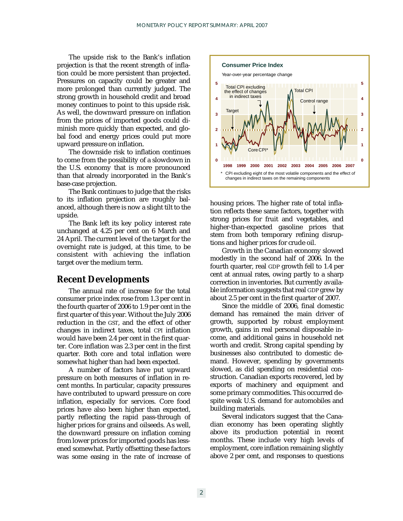The upside risk to the Bank's inflation projection is that the recent strength of inflation could be more persistent than projected. Pressures on capacity could be greater and more prolonged than currently judged. The strong growth in household credit and broad money continues to point to this upside risk. As well, the downward pressure on inflation from the prices of imported goods could diminish more quickly than expected, and global food and energy prices could put more upward pressure on inflation.

The downside risk to inflation continues to come from the possibility of a slowdown in the U.S. economy that is more pronounced than that already incorporated in the Bank's base-case projection.

The Bank continues to judge that the risks to its inflation projection are roughly balanced, although there is now a slight tilt to the upside.

The Bank left its key policy interest rate unchanged at 4.25 per cent on 6 March and 24 April. The current level of the target for the overnight rate is judged, at this time, to be consistent with achieving the inflation target over the medium term.

## **Recent Developments**

The annual rate of increase for the total consumer price index rose from 1.3 per cent in the fourth quarter of 2006 to 1.9 per cent in the first quarter of this year. Without the July 2006 reduction in the GST, and the effect of other changes in indirect taxes, total CPI inflation would have been 2.4 per cent in the first quarter. Core inflation was 2.3 per cent in the first quarter. Both core and total inflation were somewhat higher than had been expected.

A number of factors have put upward pressure on both measures of inflation in recent months. In particular, capacity pressures have contributed to upward pressure on core inflation, especially for services. Core food prices have also been higher than expected, partly reflecting the rapid pass-through of higher prices for grains and oilseeds. As well, the downward pressure on inflation coming from lower prices for imported goods has lessened somewhat. Partly offsetting these factors was some easing in the rate of increase of



housing prices. The higher rate of total inflation reflects these same factors, together with strong prices for fruit and vegetables, and higher-than-expected gasoline prices that stem from both temporary refining disruptions and higher prices for crude oil.

Growth in the Canadian economy slowed modestly in the second half of 2006. In the fourth quarter, real GDP growth fell to 1.4 per cent at annual rates, owing partly to a sharp correction in inventories. But currently available information suggests that real GDP grew by about 2.5 per cent in the first quarter of 2007.

Since the middle of 2006, final domestic demand has remained the main driver of growth, supported by robust employment growth, gains in real personal disposable income, and additional gains in household net worth and credit. Strong capital spending by businesses also contributed to domestic demand. However, spending by governments slowed, as did spending on residential construction. Canadian exports recovered, led by exports of machinery and equipment and some primary commodities. This occurred despite weak U.S. demand for automobiles and building materials.

Several indicators suggest that the Canadian economy has been operating slightly above its production potential in recent months. These include very high levels of employment, core inflation remaining slightly above 2 per cent, and responses to questions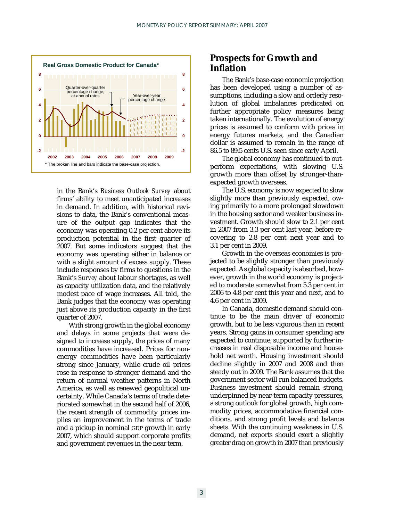

in the Bank's *Business Outlook Survey* about firms' ability to meet unanticipated increases in demand. In addition, with historical revisions to data, the Bank's conventional measure of the output gap indicates that the economy was operating 0.2 per cent above its production potential in the first quarter of 2007. But some indicators suggest that the economy was operating either in balance or with a slight amount of excess supply. These include responses by firms to questions in the Bank's *Survey* about labour shortages, as well as capacity utilization data, and the relatively modest pace of wage increases. All told, the Bank judges that the economy was operating just above its production capacity in the first quarter of 2007.

With strong growth in the global economy and delays in some projects that were designed to increase supply, the prices of many commodities have increased. Prices for nonenergy commodities have been particularly strong since January, while crude oil prices rose in response to stronger demand and the return of normal weather patterns in North America, as well as renewed geopolitical uncertainty. While Canada's terms of trade deteriorated somewhat in the second half of 2006, the recent strength of commodity prices implies an improvement in the terms of trade and a pickup in nominal GDP growth in early 2007, which should support corporate profits and government revenues in the near term.

## **Prospects for Growth and Inflation**

The Bank's base-case economic projection has been developed using a number of assumptions, including a slow and orderly resolution of global imbalances predicated on further appropriate policy measures being taken internationally. The evolution of energy prices is assumed to conform with prices in energy futures markets, and the Canadian dollar is assumed to remain in the range of 86.5 to 89.5 cents U.S. seen since early April.

The global economy has continued to outperform expectations, with slowing U.S. growth more than offset by stronger-thanexpected growth overseas.

The U.S. economy is now expected to slow slightly more than previously expected, owing primarily to a more prolonged slowdown in the housing sector and weaker business investment. Growth should slow to 2.1 per cent in 2007 from 3.3 per cent last year, before recovering to 2.8 per cent next year and to 3.1 per cent in 2009.

Growth in the overseas economies is projected to be slightly stronger than previously expected. As global capacity is absorbed, however, growth in the world economy is projected to moderate somewhat from 5.3 per cent in 2006 to 4.8 per cent this year and next, and to 4.6 per cent in 2009.

In Canada, domestic demand should continue to be the main driver of economic growth, but to be less vigorous than in recent years. Strong gains in consumer spending are expected to continue, supported by further increases in real disposable income and household net worth. Housing investment should decline slightly in 2007 and 2008 and then steady out in 2009. The Bank assumes that the government sector will run balanced budgets. Business investment should remain strong, underpinned by near-term capacity pressures, a strong outlook for global growth, high commodity prices, accommodative financial conditions, and strong profit levels and balance sheets. With the continuing weakness in U.S. demand, net exports should exert a slightly greater drag on growth in 2007 than previously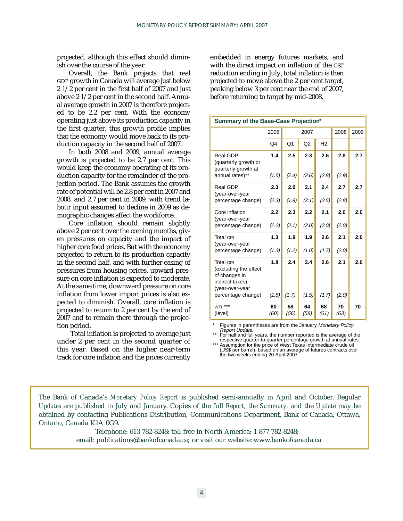projected, although this effect should diminish over the course of the year.

Overall, the Bank projects that real GDP growth in Canada will average just below 2 1/2 per cent in the first half of 2007 and just above 2 1/2 per cent in the second half. Annual average growth in 2007 is therefore projected to be 2.2 per cent. With the economy operating just above its production capacity in the first quarter, this growth profile implies that the economy would move back to its production capacity in the second half of 2007.

In both 2008 and 2009, annual average growth is projected to be 2.7 per cent. This would keep the economy operating at its production capacity for the remainder of the projection period. The Bank assumes the growth rate of potential will be 2.8 per cent in 2007 and 2008, and 2.7 per cent in 2009, with trend labour input assumed to decline in 2009 as demographic changes affect the workforce.

Core inflation should remain slightly above 2 per cent over the coming months, given pressures on capacity and the impact of higher core food prices. But with the economy projected to return to its production capacity in the second half, and with further easing of pressures from housing prices, upward pressure on core inflation is expected to moderate. At the same time, downward pressure on core inflation from lower import prices is also expected to diminish. Overall, core inflation is projected to return to 2 per cent by the end of 2007 and to remain there through the projection period.

Total inflation is projected to average just under 2 per cent in the second quarter of this year. Based on the higher near-term track for core inflation and the prices currently

embedded in energy futures markets, and with the direct impact on inflation of the GST reduction ending in July, total inflation is then projected to move above the 2 per cent target, peaking below 3 per cent near the end of 2007, before returning to target by mid-2008.

| Summary of the Base-Case Projection*                                                             |            |                |                |                |            |     |
|--------------------------------------------------------------------------------------------------|------------|----------------|----------------|----------------|------------|-----|
|                                                                                                  | 2006       | 2007           |                | 2008           | 2009       |     |
|                                                                                                  | Q4         | O <sub>1</sub> | Q <sub>2</sub> | H <sub>2</sub> |            |     |
| Real GDP<br>(quarterly growth or<br>quarterly growth at                                          | 1.4        | 2.5            | 2.3            | 2.6            | 2.8        | 2.7 |
| annual rates)**                                                                                  | (1.5)      | (2.4)          | (2.6)          | (2.8)          | (2.9)      |     |
| Real GDP<br>(year-over-year                                                                      | 2.3        | 2.0            | 2.1            | 2.4            | 2.7        | 2.7 |
| percentage change)                                                                               | (2.3)      | (1.9)          | (2.1)          | (2.5)          | (2.8)      |     |
| Core inflation<br>(year-over-year                                                                | 2.2        | 2.3            | 2.2            | 2.1            | 2.0        | 2.0 |
| percentage change)                                                                               | (2.2)      | (2.1)          | (2.0)          | (2.0)          | (2.0)      |     |
| <b>Total CPI</b><br>(year-over-year                                                              | 1.3        | 1.9            | 1.9            | 2.6            | 2.1        | 2.0 |
| percentage change)                                                                               | (1.3)      | (1.2)          | (1.0)          | (1.7)          | (2.0)      |     |
| <b>Total CPI</b><br>(excluding the effect<br>of changes in<br>indirect taxes)<br>(year-over-year | 1.8        | 2.4            | 2.4            | 2.6            | 2.1        | 2.0 |
| percentage change)                                                                               | (1.8)      | (1.7)          | (1.5)          | (1.7)          | (2.0)      |     |
| WTI <sup>***</sup><br>(level)                                                                    | 60<br>(60) | 58<br>(56)     | 64<br>(58)     | 68<br>(61)     | 70<br>(63) | 70  |

Figures in parentheses are from the January Monetary Policy Report Update.

\*\* For half and full years, the number reported is the average of the respective quarter-to-quarter percentage growth at annual rates.

Assumption for the price of West Texas Intermediate crude oil (US\$ per barrel), based on an average of futures contracts over the two weeks ending 20 April 2007

The Bank of Canada's *Monetary Policy Report* is published semi-annually in April and October. Regular *Updates* are published in July and January. Copies of the full *Report,* the *Summary,* and the *Update* may be obtained by contacting Publications Distribution, Communications Department, Bank of Canada, Ottawa, Ontario, Canada K1A 0G9.

> Telephone: 613 782-8248; toll free in North America: 1 877 782-8248; email: publications@bankofcanada.ca; or visit our website: www.bankofcanada.ca